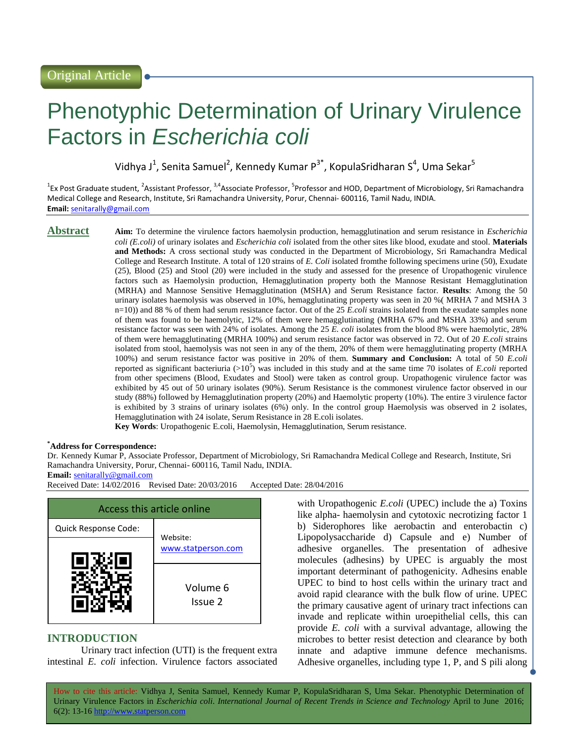# Phenotyphic Determination of Urinary Virulence Factors in *Escherichia coli*

Vidhya J<sup>1</sup>, Senita Samuel<sup>2</sup>, Kennedy Kumar P<sup>3\*</sup>, KopulaSridharan S<sup>4</sup>, Uma Sekar<sup>5</sup>

<sup>1</sup>Ex Post Graduate student, <sup>2</sup>Assistant Professor, <sup>3,4</sup>Associate Professor, <sup>5</sup>Professor and HOD, Department of Microbiology, Sri Ramachandra Medical College and Research, Institute, Sri Ramachandra University, Porur, Chennai- 600116, Tamil Nadu, INDIA. **Email:** [senitarally@gmail.com](mailto:senitarally@gmail.com)

**Abstract Aim:** To determine the virulence factors haemolysin production, hemagglutination and serum resistance in *Escherichia coli (E.coli)* of urinary isolates and *Escherichia coli* isolated from the other sites like blood, exudate and stool. **Materials and Methods:** A cross sectional study was conducted in the Department of Microbiology, Sri Ramachandra Medical College and Research Institute. A total of 120 strains of *E. Coli* isolated fromthe following specimens urine (50), Exudate (25), Blood (25) and Stool (20) were included in the study and assessed for the presence of Uropathogenic virulence factors such as Haemolysin production, Hemagglutination property both the Mannose Resistant Hemagglutination (MRHA) and Mannose Sensitive Hemagglutination (MSHA) and Serum Resistance factor. **Results**: Among the 50 urinary isolates haemolysis was observed in 10%, hemagglutinating property was seen in 20 %( MRHA 7 and MSHA 3 n=10)) and 88 % of them had serum resistance factor. Out of the 25 *E.coli* strains isolated from the exudate samples none of them was found to be haemolytic, 12% of them were hemagglutinating (MRHA 67% and MSHA 33%) and serum resistance factor was seen with 24% of isolates. Among the 25 *E. coli* isolates from the blood 8% were haemolytic, 28% of them were hemagglutinating (MRHA 100%) and serum resistance factor was observed in 72. Out of 20 *E.coli* strains isolated from stool, haemolysis was not seen in any of the them, 20% of them were hemagglutinating property (MRHA 100%) and serum resistance factor was positive in 20% of them. **Summary and Conclusion:** A total of 50 *E.coli*  reported as significant bacteriuria  $(>10^5)$  was included in this study and at the same time 70 isolates of *E.coli* reported from other specimens (Blood, Exudates and Stool) were taken as control group. Uropathogenic virulence factor was exhibited by 45 out of 50 urinary isolates (90%). Serum Resistance is the commonest virulence factor observed in our study (88%) followed by Hemagglutination property (20%) and Haemolytic property (10%). The entire 3 virulence factor is exhibited by 3 strains of urinary isolates (6%) only. In the control group Haemolysis was observed in 2 isolates, Hemagglutination with 24 isolate, Serum Resistance in 28 E.coli isolates.

**Key Words**: Uropathogenic E.coli, Haemolysin, Hemagglutination, Serum resistance.

#### **\*Address for Correspondence:**

Dr. Kennedy Kumar P, Associate Professor, Department of Microbiology, Sri Ramachandra Medical College and Research, Institute, Sri Ramachandra University, Porur, Chennai- 600116, Tamil Nadu, INDIA.

**Email:** [senitarally@gmail.com](mailto:senitarally@gmail.com)

Received Date: 14/02/2016 Revised Date: 20/03/2016 Accepted Date: 28/04/2016



# **INTRODUCTION**

Urinary tract infection (UTI) is the frequent extra intestinal *E. coli* infection. Virulence factors associated

with Uropathogenic *E.coli* (UPEC) include the a) Toxins like alpha- haemolysin and cytotoxic necrotizing factor 1 b) Siderophores like aerobactin and enterobactin c) Lipopolysaccharide d) Capsule and e) Number of adhesive organelles. The presentation of adhesive molecules (adhesins) by UPEC is arguably the most important determinant of pathogenicity. Adhesins enable UPEC to bind to host cells within the urinary tract and avoid rapid clearance with the bulk flow of urine. UPEC the primary causative agent of urinary tract infections can invade and replicate within uroepithelial cells, this can provide *E. coli* with a survival advantage, allowing the microbes to better resist detection and clearance by both innate and adaptive immune defence mechanisms. Adhesive organelles, including type 1, P, and S pili along

How to cite this article: Vidhya J, Senita Samuel, Kennedy Kumar P, KopulaSridharan S, Uma Sekar*.* Phenotyphic Determination of Urinary Virulence Factors in *Escherichia coli*. *International Journal of Recent Trends in Science and Technology* April to June 2016; 6(2): 13-16 http://www.statperson.com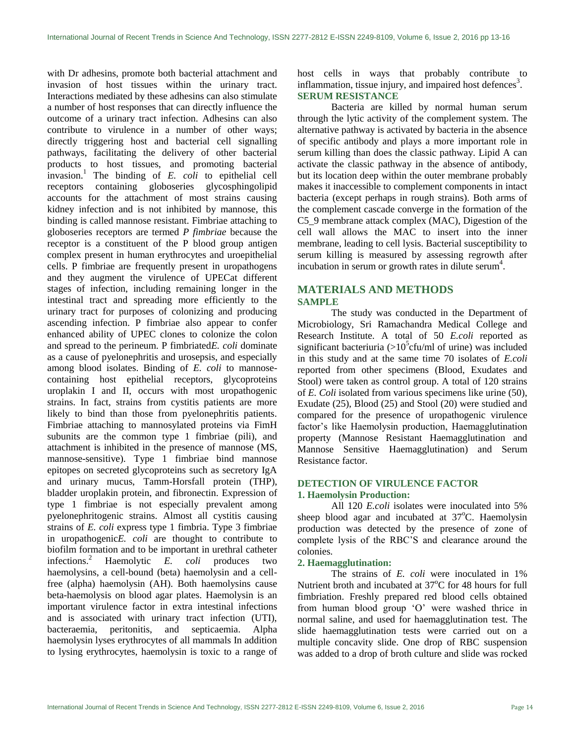with Dr adhesins, promote both bacterial attachment and invasion of host tissues within the urinary tract. Interactions mediated by these adhesins can also stimulate a number of host responses that can directly influence the outcome of a urinary tract infection. Adhesins can also contribute to virulence in a number of other ways; directly triggering host and bacterial cell signalling pathways, facilitating the delivery of other bacterial products to host tissues, and promoting bacterial invasion.<sup>1</sup> The binding of  $E$ . *coli* to epithelial cell receptors containing globoseries glycosphingolipid accounts for the attachment of most strains causing kidney infection and is not inhibited by mannose, this binding is called mannose resistant. Fimbriae attaching to globoseries receptors are termed *P fimbriae* because the receptor is a constituent of the P blood group antigen complex present in human erythrocytes and uroepithelial cells. P fimbriae are frequently present in uropathogens and they augment the virulence of UPECat different stages of infection, including remaining longer in the intestinal tract and spreading more efficiently to the urinary tract for purposes of colonizing and producing ascending infection. P fimbriae also appear to confer enhanced ability of UPEC clones to colonize the colon and spread to the perineum. P fimbriated*E. coli* dominate as a cause of pyelonephritis and urosepsis, and especially among blood isolates. Binding of *E. coli* to mannosecontaining host epithelial receptors, glycoproteins uroplakin I and II, occurs with most uropathogenic strains. In fact, strains from cystitis patients are more likely to bind than those from pyelonephritis patients. Fimbriae attaching to mannosylated proteins via FimH subunits are the common type 1 fimbriae (pili), and attachment is inhibited in the presence of mannose (MS, mannose-sensitive). Type 1 fimbriae bind mannose epitopes on secreted glycoproteins such as secretory IgA and urinary mucus, Tamm-Horsfall protein (THP), bladder uroplakin protein, and fibronectin. Expression of type 1 fimbriae is not especially prevalent among pyelonephritogenic strains. Almost all cystitis causing strains of *E. coli* express type 1 fimbria. Type 3 fimbriae in uropathogenic*E. coli* are thought to contribute to biofilm formation and to be important in urethral catheter infections.<sup>2</sup> Haemolytic  $E$ . *coli* produces two infections.<sup>2</sup> Haemolytic  $E$ . *coli* haemolysins, a cell-bound (beta) haemolysin and a cellfree (alpha) haemolysin (AH). Both haemolysins cause beta-haemolysis on blood agar plates. Haemolysin is an important virulence factor in extra intestinal infections and is associated with urinary tract infection (UTI), bacteraemia, peritonitis, and septicaemia. Alpha haemolysin lyses erythrocytes of all mammals In addition to lysing erythrocytes, haemolysin is toxic to a range of host cells in ways that probably contribute to inflammation, tissue injury, and impaired host defences<sup>3</sup>. **SERUM RESISTANCE**

Bacteria are killed by normal human serum through the lytic activity of the complement system. The alternative pathway is activated by bacteria in the absence of specific antibody and plays a more important role in serum killing than does the classic pathway. Lipid A can activate the classic pathway in the absence of antibody, but its location deep within the outer membrane probably makes it inaccessible to complement components in intact bacteria (except perhaps in rough strains). Both arms of the complement cascade converge in the formation of the C5\_9 membrane attack complex (MAC), Digestion of the cell wall allows the MAC to insert into the inner membrane, leading to cell lysis. Bacterial susceptibility to serum killing is measured by assessing regrowth after incubation in serum or growth rates in dilute serum<sup>4</sup>.

# **MATERIALS AND METHODS SAMPLE**

The study was conducted in the Department of Microbiology, Sri Ramachandra Medical College and Research Institute. A total of 50 *E.coli* reported as significant bacteriuria ( $>10^5$ cfu/ml of urine) was included in this study and at the same time 70 isolates of *E.coli* reported from other specimens (Blood, Exudates and Stool) were taken as control group. A total of 120 strains of *E. Coli* isolated from various specimens like urine (50), Exudate (25), Blood (25) and Stool (20) were studied and compared for the presence of uropathogenic virulence factor's like Haemolysin production, Haemagglutination property (Mannose Resistant Haemagglutination and Mannose Sensitive Haemagglutination) and Serum Resistance factor.

#### **DETECTION OF VIRULENCE FACTOR 1. Haemolysin Production:**

All 120 *E.coli* isolates were inoculated into 5% sheep blood agar and incubated at  $37^{\circ}$ C. Haemolysin production was detected by the presence of zone of complete lysis of the RBC"S and clearance around the colonies.

#### **2. Haemagglutination:**

The strains of *E. coli* were inoculated in 1% Nutrient broth and incubated at  $37^{\circ}$ C for 48 hours for full fimbriation. Freshly prepared red blood cells obtained from human blood group "O" were washed thrice in normal saline, and used for haemagglutination test. The slide haemagglutination tests were carried out on a multiple concavity slide. One drop of RBC suspension was added to a drop of broth culture and slide was rocked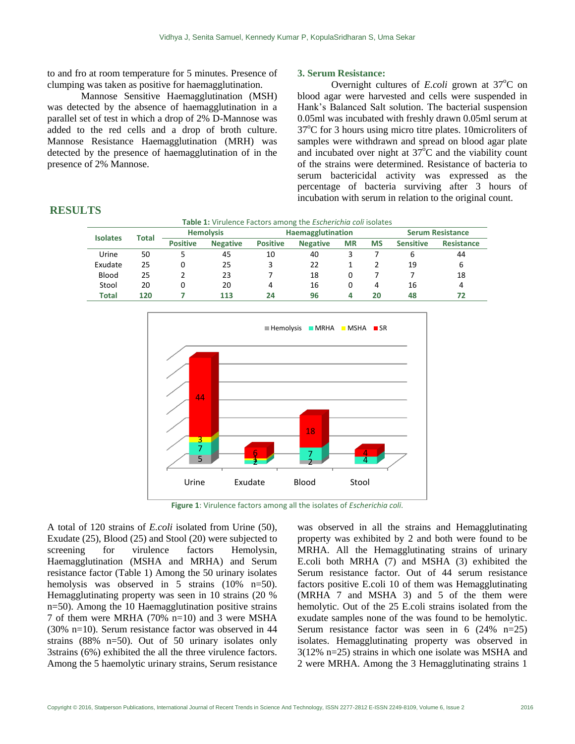to and fro at room temperature for 5 minutes. Presence of clumping was taken as positive for haemagglutination.

Mannose Sensitive Haemagglutination (MSH) was detected by the absence of haemagglutination in a parallel set of test in which a drop of 2% D-Mannose was added to the red cells and a drop of broth culture. Mannose Resistance Haemagglutination (MRH) was detected by the presence of haemagglutination of in the presence of 2% Mannose.

### **3. Serum Resistance:**

Overnight cultures of *E.coli* grown at  $37^{\circ}$ C on blood agar were harvested and cells were suspended in Hank"s Balanced Salt solution. The bacterial suspension 0.05ml was incubated with freshly drawn 0.05ml serum at  $37^{\circ}$ C for 3 hours using micro titre plates. 10microliters of samples were withdrawn and spread on blood agar plate and incubated over night at  $37^{\circ}$ C and the viability count of the strains were determined. Resistance of bacteria to serum bactericidal activity was expressed as the percentage of bacteria surviving after 3 hours of incubation with serum in relation to the original count.

| Table 1: Virulence Factors among the <i>Escherichia coli</i> isolates |       |                  |                 |                   |                 |           |           |                         |                   |
|-----------------------------------------------------------------------|-------|------------------|-----------------|-------------------|-----------------|-----------|-----------|-------------------------|-------------------|
| <b>Isolates</b>                                                       | Total | <b>Hemolysis</b> |                 | Haemagglutination |                 |           |           | <b>Serum Resistance</b> |                   |
|                                                                       |       | <b>Positive</b>  | <b>Negative</b> | <b>Positive</b>   | <b>Negative</b> | <b>MR</b> | <b>MS</b> | <b>Sensitive</b>        | <b>Resistance</b> |
| Urine                                                                 | 50    |                  | 45              | 10                | 40              |           |           | ь                       | 44                |
| Exudate                                                               | 25    | 0                | 25              | 3                 | 22              |           |           | 19                      | 6                 |
| Blood                                                                 | 25    |                  | 23              |                   | 18              | 0         |           |                         | 18                |
| Stool                                                                 | 20    | 0                | 20              | 4                 | 16              | 0         | 4         | 16                      | 4                 |
| Total                                                                 | 120   |                  | 113             | 24                | 96              | 4         | 20        | 48                      | 72                |

#### **RESULTS**



**Figure 1**: Virulence factors among all the isolates of *Escherichia coli*.

A total of 120 strains of *E.coli* isolated from Urine (50), Exudate (25), Blood (25) and Stool (20) were subjected to screening for virulence factors Hemolysin, Haemagglutination (MSHA and MRHA) and Serum resistance factor (Table 1) Among the 50 urinary isolates hemolysis was observed in 5 strains (10% n=50). Hemagglutinating property was seen in 10 strains (20 % n=50). Among the 10 Haemagglutination positive strains 7 of them were MRHA (70% n=10) and 3 were MSHA (30% n=10). Serum resistance factor was observed in 44 strains (88% n=50). Out of 50 urinary isolates only 3strains (6%) exhibited the all the three virulence factors. Among the 5 haemolytic urinary strains, Serum resistance

was observed in all the strains and Hemagglutinating property was exhibited by 2 and both were found to be MRHA. All the Hemagglutinating strains of urinary E.coli both MRHA (7) and MSHA (3) exhibited the Serum resistance factor. Out of 44 serum resistance factors positive E.coli 10 of them was Hemagglutinating (MRHA 7 and MSHA 3) and 5 of the them were hemolytic. Out of the 25 E.coli strains isolated from the exudate samples none of the was found to be hemolytic. Serum resistance factor was seen in 6 (24% n=25) isolates. Hemagglutinating property was observed in 3(12% n=25) strains in which one isolate was MSHA and 2 were MRHA. Among the 3 Hemagglutinating strains 1